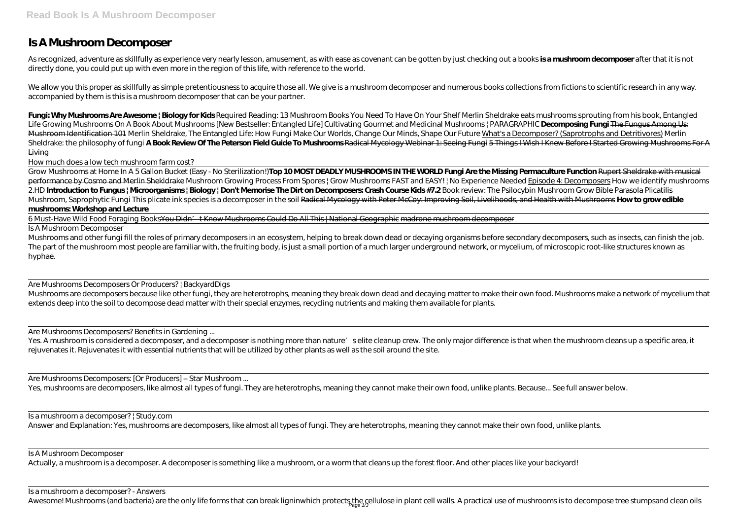## **Is A Mushroom Decomposer**

As recognized, adventure as skillfully as experience very nearly lesson, amusement, as with ease as covenant can be gotten by just checking out a books **is a mushroom decomposer** after that it is not directly done, you could put up with even more in the region of this life, with reference to the world.

We allow you this proper as skillfully as simple pretentiousness to acquire those all. We give is a mushroom decomposer and numerous books collections from fictions to scientific research in any way. accompanied by them is this is a mushroom decomposer that can be your partner.

**Fungi: Why Mushrooms Are Awesome | Biology for Kids** *Required Reading: 13 Mushroom Books You Need To Have On Your Shelf* Merlin Sheldrake eats mushrooms sprouting from his book, Entangled Life Growing Mushrooms On A Book About Mushrooms [New Bestseller: Entangled Life] Cultivating Gourmet and Medicinal Mushrooms | PARAGRAPHIC Decomposing Fungi The Fungus Among Us: Mushroom Identification 101 Merlin Sheldrake, The Entangled Life: How Fungi Make Our Worlds, Change Our Minds, Shape Our Future What's a Decomposer? (Saprotrophs and Detritivores) Merlin Sheldrake: the philosophy of fungi **A Book Review Of The Peterson Field Guide To Mushrooms** Radical Mycology Webinar 1: Seeing Fungi 5 Things I Wish I Knew Before I Started Growing Mushrooms For A Living

Mushrooms and other fungi fill the roles of primary decomposers in an ecosystem, helping to break down dead or decaying organisms before secondary decomposers, such as insects, can finish the job. The part of the mushroom most people are familiar with, the fruiting body, is just a small portion of a much larger underground network, or mycelium, of microscopic root-like structures known as hyphae.

How much does a low tech mushroom farm cost?

Mushrooms are decomposers because like other fungi, they are heterotrophs, meaning they break down dead and decaying matter to make their own food. Mushrooms make a network of mycelium that extends deep into the soil to decompose dead matter with their special enzymes, recycling nutrients and making them available for plants.

Yes. A mushroom is considered a decomposer, and a decomposer is nothing more than nature's elite cleanup crew. The only major difference is that when the mushroom cleans up a specific area, it rejuvenates it. Rejuvenates it with essential nutrients that will be utilized by other plants as well as the soil around the site.

Grow Mushrooms at Home In A 5 Gallon Bucket (Easy - No Sterilization!)**Top 10 MOST DEADLY MUSHROOMS IN THE WORLD Fungi Are the Missing Permaculture Function** Rupert Sheldrake with musical performance by Cosmo and Merlin Shekldrake Mushroom Growing Process From Spores | Grow Mushrooms FAST and EASY! | No Experience Needed Episode 4: Decomposers *How we identify mushrooms 2.HD* **Introduction to Fungus | Microorganisms | Biology | Don't Memorise The Dirt on Decomposers: Crash Course Kids #7.2** Book review: The Psilocybin Mushroom Grow Bible *Parasola Plicatilis Mushroom, Saprophytic Fungi This plicate ink species is a decomposer in the soil Radical Mycology with Peter McCoy: Improving Soil, Livelihoods, and Health with Mushrooms How to grow edible* **mushrooms: Workshop and Lecture**

6 Must-Have Wild Food Foraging BooksYou Didn't Know Mushrooms Could Do All This | National Geographic madrone mushroom decomposer

Is a mushroom a decomposer? | Study.com Answer and Explanation: Yes, mushrooms are decomposers, like almost all types of fungi. They are heterotrophs, meaning they cannot make their own food, unlike plants.

Is A Mushroom Decomposer

Are Mushrooms Decomposers Or Producers? | BackyardDigs

Are Mushrooms Decomposers? Benefits in Gardening ...

Are Mushrooms Decomposers: [Or Producers] – Star Mushroom ...

Yes, mushrooms are decomposers, like almost all types of fungi. They are heterotrophs, meaning they cannot make their own food, unlike plants. Because... See full answer below.

Is A Mushroom Decomposer

Actually, a mushroom is a decomposer. A decomposer is something like a mushroom, or a worm that cleans up the forest floor. And other places like your backyard!

Is a mushroom a decomposer? - Answers

Awesome! Mushrooms (and bacteria) are the only life forms that can break ligninwhich protects the cellulose in plant cell walls. A practical use of mushrooms is to decompose tree stumpsand clean oils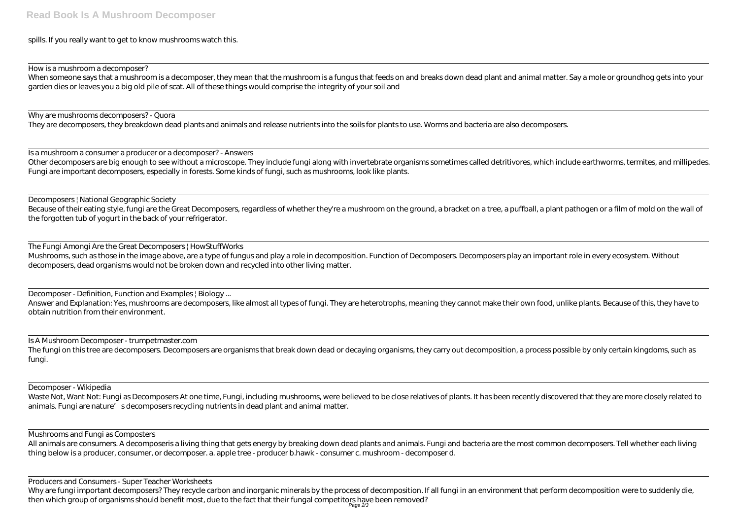spills. If you really want to get to know mushrooms watch this.

How is a mushroom a decomposer?

When someone says that a mushroom is a decomposer, they mean that the mushroom is a fungus that feeds on and breaks down dead plant and animal matter. Say a mole or groundhog gets into your garden dies or leaves you a big old pile of scat. All of these things would comprise the integrity of your soil and

Why are mushrooms decomposers? - Quora

They are decomposers, they breakdown dead plants and animals and release nutrients into the soils for plants to use. Worms and bacteria are also decomposers.

Is a mushroom a consumer a producer or a decomposer? - Answers Other decomposers are big enough to see without a microscope. They include fungi along with invertebrate organisms sometimes called detritivores, which include earthworms, termites, and millipedes. Fungi are important decomposers, especially in forests. Some kinds of fungi, such as mushrooms, look like plants.

The fungi on this tree are decomposers. Decomposers are organisms that break down dead or decaying organisms, they carry out decomposition, a process possible by only certain kingdoms, such as fungi.

Decomposers | National Geographic Society Because of their eating style, fungi are the Great Decomposers, regardless of whether they're a mushroom on the ground, a bracket on a tree, a puffball, a plant pathogen or a film of mold on the wall of the forgotten tub of yogurt in the back of your refrigerator.

All animals are consumers. A decomposeris a living thing that gets energy by breaking down dead plants and animals. Fungi and bacteria are the most common decomposers. Tell whether each living thing below is a producer, consumer, or decomposer. a. apple tree - producer b.hawk - consumer c. mushroom - decomposer d.

The Fungi Amongi Are the Great Decomposers | HowStuffWorks Mushrooms, such as those in the image above, are a type of fungus and play a role in decomposition. Function of Decomposers. Decomposers play an important role in every ecosystem. Without decomposers, dead organisms would not be broken down and recycled into other living matter.

Decomposer - Definition, Function and Examples | Biology ...

Answer and Explanation: Yes, mushrooms are decomposers, like almost all types of fungi. They are heterotrophs, meaning they cannot make their own food, unlike plants. Because of this, they have to obtain nutrition from their environment.

Is A Mushroom Decomposer - trumpetmaster.com

Decomposer - Wikipedia

Waste Not, Want Not: Fungi as Decomposers At one time, Fungi, including mushrooms, were believed to be close relatives of plants. It has been recently discovered that they are more closely related to animals. Fungi are nature's decomposers recycling nutrients in dead plant and animal matter.

Mushrooms and Fungi as Composters

Producers and Consumers - Super Teacher Worksheets

Why are fungi important decomposers? They recycle carbon and inorganic minerals by the process of decomposition. If all fungi in an environment that perform decomposition were to suddenly die, then which group of organisms should benefit most, due to the fact that their fungal competitors have been removed?<br>Page 2/3